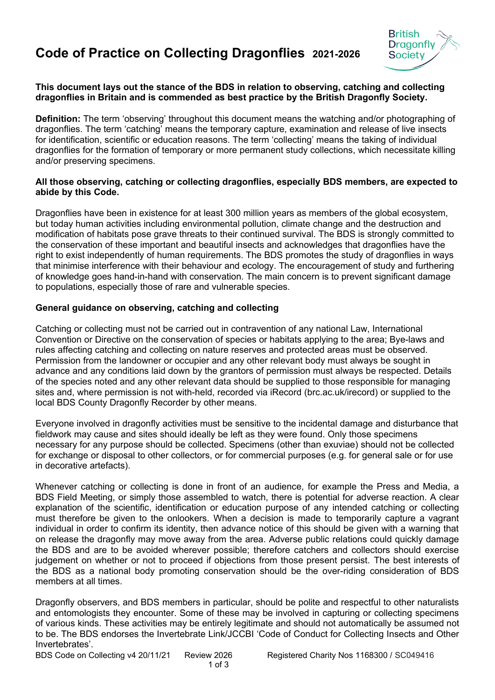# **Code of Practice on Collecting Dragonflies 2021-2026**



#### **This document lays out the stance of the BDS in relation to observing, catching and collecting dragonflies in Britain and is commended as best practice by the British Dragonfly Society.**

**Definition:** The term 'observing' throughout this document means the watching and/or photographing of dragonflies. The term 'catching' means the temporary capture, examination and release of live insects for identification, scientific or education reasons. The term 'collecting' means the taking of individual dragonflies for the formation of temporary or more permanent study collections, which necessitate killing and/or preserving specimens.

#### **All those observing, catching or collecting dragonflies, especially BDS members, are expected to abide by this Code.**

Dragonflies have been in existence for at least 300 million years as members of the global ecosystem, but today human activities including environmental pollution, climate change and the destruction and modification of habitats pose grave threats to their continued survival. The BDS is strongly committed to the conservation of these important and beautiful insects and acknowledges that dragonflies have the right to exist independently of human requirements. The BDS promotes the study of dragonflies in ways that minimise interference with their behaviour and ecology. The encouragement of study and furthering of knowledge goes hand-in-hand with conservation. The main concern is to prevent significant damage to populations, especially those of rare and vulnerable species.

#### **General guidance on observing, catching and collecting**

Catching or collecting must not be carried out in contravention of any national Law, International Convention or Directive on the conservation of species or habitats applying to the area; Bye-laws and rules affecting catching and collecting on nature reserves and protected areas must be observed. Permission from the landowner or occupier and any other relevant body must always be sought in advance and any conditions laid down by the grantors of permission must always be respected. Details of the species noted and any other relevant data should be supplied to those responsible for managing sites and, where permission is not with-held, recorded via iRecord (brc.ac.uk/irecord) or supplied to the local BDS County Dragonfly Recorder by other means.

Everyone involved in dragonfly activities must be sensitive to the incidental damage and disturbance that fieldwork may cause and sites should ideally be left as they were found. Only those specimens necessary for any purpose should be collected. Specimens (other than exuviae) should not be collected for exchange or disposal to other collectors, or for commercial purposes (e.g. for general sale or for use in decorative artefacts).

Whenever catching or collecting is done in front of an audience, for example the Press and Media, a BDS Field Meeting, or simply those assembled to watch, there is potential for adverse reaction. A clear explanation of the scientific, identification or education purpose of any intended catching or collecting must therefore be given to the onlookers. When a decision is made to temporarily capture a vagrant individual in order to confirm its identity, then advance notice of this should be given with a warning that on release the dragonfly may move away from the area. Adverse public relations could quickly damage the BDS and are to be avoided wherever possible; therefore catchers and collectors should exercise judgement on whether or not to proceed if objections from those present persist. The best interests of the BDS as a national body promoting conservation should be the over-riding consideration of BDS members at all times.

Dragonfly observers, and BDS members in particular, should be polite and respectful to other naturalists and entomologists they encounter. Some of these may be involved in capturing or collecting specimens of various kinds. These activities may be entirely legitimate and should not automatically be assumed not to be. The BDS endorses the Invertebrate Link/JCCBI 'Code of Conduct for Collecting Insects and Other Invertebrates'.

BDS Code on Collecting v4 20/11/21 Review 2026 Registered Charity Nos 1168300 / SC049416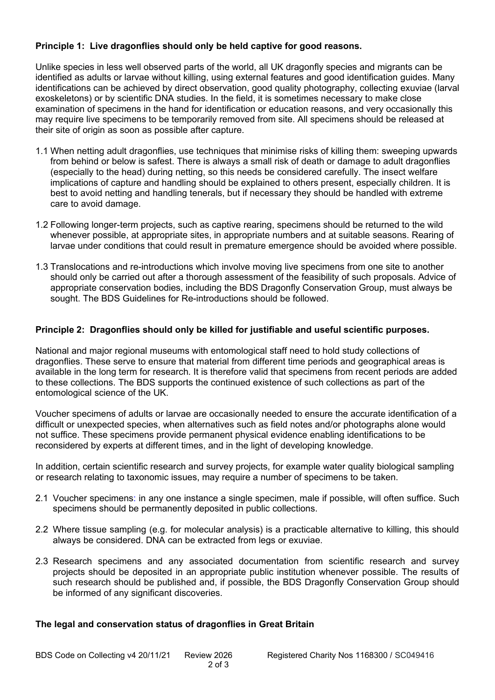## **Principle 1: Live dragonflies should only be held captive for good reasons.**

Unlike species in less well observed parts of the world, all UK dragonfly species and migrants can be identified as adults or larvae without killing, using external features and good identification guides. Many identifications can be achieved by direct observation, good quality photography, collecting exuviae (larval exoskeletons) or by scientific DNA studies. In the field, it is sometimes necessary to make close examination of specimens in the hand for identification or education reasons, and very occasionally this may require live specimens to be temporarily removed from site. All specimens should be released at their site of origin as soon as possible after capture.

- 1.1 When netting adult dragonflies, use techniques that minimise risks of killing them: sweeping upwards from behind or below is safest. There is always a small risk of death or damage to adult dragonflies (especially to the head) during netting, so this needs be considered carefully. The insect welfare implications of capture and handling should be explained to others present, especially children. It is best to avoid netting and handling tenerals, but if necessary they should be handled with extreme care to avoid damage.
- 1.2 Following longer-term projects, such as captive rearing, specimens should be returned to the wild whenever possible, at appropriate sites, in appropriate numbers and at suitable seasons. Rearing of larvae under conditions that could result in premature emergence should be avoided where possible.
- 1.3 Translocations and re-introductions which involve moving live specimens from one site to another should only be carried out after a thorough assessment of the feasibility of such proposals. Advice of appropriate conservation bodies, including the BDS Dragonfly Conservation Group, must always be sought. The BDS Guidelines for Re-introductions should be followed.

### **Principle 2: Dragonflies should only be killed for justifiable and useful scientific purposes.**

National and major regional museums with entomological staff need to hold study collections of dragonflies. These serve to ensure that material from different time periods and geographical areas is available in the long term for research. It is therefore valid that specimens from recent periods are added to these collections. The BDS supports the continued existence of such collections as part of the entomological science of the UK.

Voucher specimens of adults or larvae are occasionally needed to ensure the accurate identification of a difficult or unexpected species, when alternatives such as field notes and/or photographs alone would not suffice. These specimens provide permanent physical evidence enabling identifications to be reconsidered by experts at different times, and in the light of developing knowledge.

In addition, certain scientific research and survey projects, for example water quality biological sampling or research relating to taxonomic issues, may require a number of specimens to be taken.

- 2.1 Voucher specimens: in any one instance a single specimen, male if possible, will often suffice. Such specimens should be permanently deposited in public collections.
- 2.2 Where tissue sampling (e.g. for molecular analysis) is a practicable alternative to killing, this should always be considered. DNA can be extracted from legs or exuviae.
- 2.3 Research specimens and any associated documentation from scientific research and survey projects should be deposited in an appropriate public institution whenever possible. The results of such research should be published and, if possible, the BDS Dragonfly Conservation Group should be informed of any significant discoveries.

#### **The legal and conservation status of dragonflies in Great Britain**